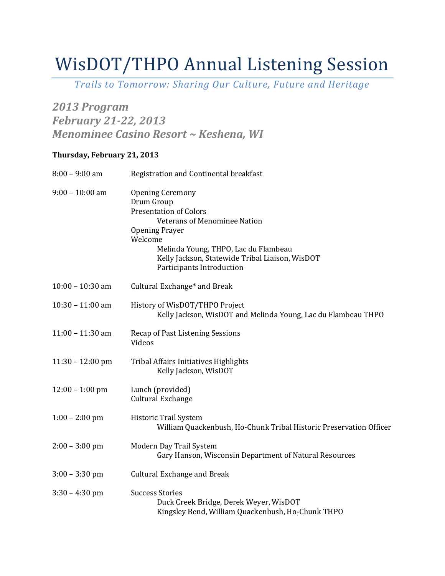# WisDOT/THPO Annual Listening Session

*Trails to Tomorrow: Sharing Our Culture, Future and Heritage*

## *2013 Program February 21-22, 2013 Menominee Casino Resort ~ Keshena, WI*

## **Thursday, February 21, 2013**

| $8:00 - 9:00$ am   | Registration and Continental breakfast                                                                                                                                                                                                                                    |
|--------------------|---------------------------------------------------------------------------------------------------------------------------------------------------------------------------------------------------------------------------------------------------------------------------|
| $9:00 - 10:00$ am  | <b>Opening Ceremony</b><br>Drum Group<br><b>Presentation of Colors</b><br><b>Veterans of Menominee Nation</b><br><b>Opening Prayer</b><br>Welcome<br>Melinda Young, THPO, Lac du Flambeau<br>Kelly Jackson, Statewide Tribal Liaison, WisDOT<br>Participants Introduction |
| $10:00 - 10:30$ am | Cultural Exchange* and Break                                                                                                                                                                                                                                              |
| $10:30 - 11:00$ am | History of WisDOT/THPO Project<br>Kelly Jackson, WisDOT and Melinda Young, Lac du Flambeau THPO                                                                                                                                                                           |
| $11:00 - 11:30$ am | Recap of Past Listening Sessions<br>Videos                                                                                                                                                                                                                                |
| $11:30 - 12:00$ pm | <b>Tribal Affairs Initiatives Highlights</b><br>Kelly Jackson, WisDOT                                                                                                                                                                                                     |
| $12:00 - 1:00$ pm  | Lunch (provided)<br><b>Cultural Exchange</b>                                                                                                                                                                                                                              |
| $1:00 - 2:00$ pm   | Historic Trail System<br>William Quackenbush, Ho-Chunk Tribal Historic Preservation Officer                                                                                                                                                                               |
| $2:00 - 3:00$ pm   | Modern Day Trail System<br>Gary Hanson, Wisconsin Department of Natural Resources                                                                                                                                                                                         |
| $3:00 - 3:30$ pm   | <b>Cultural Exchange and Break</b>                                                                                                                                                                                                                                        |
| $3:30 - 4:30$ pm   | <b>Success Stories</b><br>Duck Creek Bridge, Derek Weyer, WisDOT<br>Kingsley Bend, William Quackenbush, Ho-Chunk THPO                                                                                                                                                     |